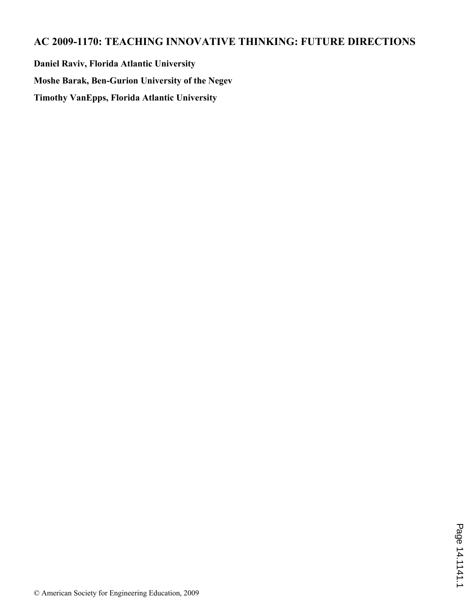# **AC 2009-1170: TEACHING INNOVATIVE THINKING: FUTURE DIRECTIONS**

**Daniel Raviv, Florida Atlantic University**

**Moshe Barak, Ben-Gurion University of the Negev**

**Timothy VanEpps, Florida Atlantic University**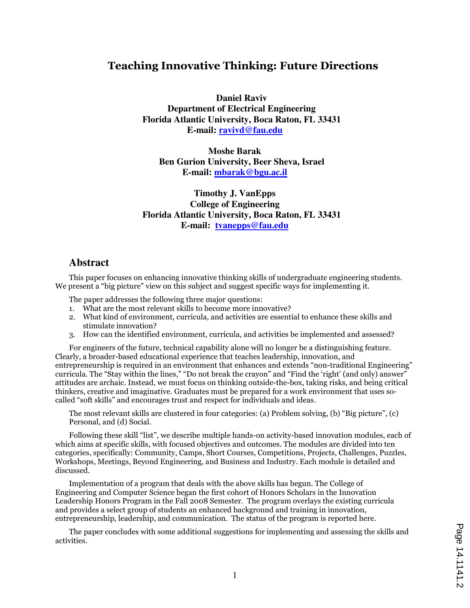# **Teaching Innovative Thinking: Future Directions**

**Daniel Raviv Department of Electrical Engineering Florida Atlantic University, Boca Raton, FL 33431 E-mail: ravivd@fau.edu** 

**Moshe Barak Ben Gurion University, Beer Sheva, Israel E-mail: mbarak@bgu.ac.il**

## **Timothy J. VanEpps College of Engineering Florida Atlantic University, Boca Raton, FL 33431 E-mail: tvanepps@fau.edu**

### **Abstract**

This paper focuses on enhancing innovative thinking skills of undergraduate engineering students. We present a "big picture" view on this subject and suggest specific ways for implementing it.

The paper addresses the following three major questions:

- 1. What are the most relevant skills to become more innovative?
- 2. What kind of environment, curricula, and activities are essential to enhance these skills and stimulate innovation?
- 3. How can the identified environment, curricula, and activities be implemented and assessed?

For engineers of the future, technical capability alone will no longer be a distinguishing feature. Clearly, a broader-based educational experience that teaches leadership, innovation, and entrepreneurship is required in an environment that enhances and extends "non-traditional Engineering" curricula. The "Stay within the lines," "Do not break the crayon" and "Find the 'right' (and only) answer" attitudes are archaic. Instead, we must focus on thinking outside-the-box, taking risks, and being critical thinkers, creative and imaginative. Graduates must be prepared for a work environment that uses socalled "soft skills" and encourages trust and respect for individuals and ideas.

The most relevant skills are clustered in four categories: (a) Problem solving, (b) "Big picture", (c) Personal, and (d) Social.

Following these skill "list", we describe multiple hands-on activity-based innovation modules, each of which aims at specific skills, with focused objectives and outcomes. The modules are divided into ten categories, specifically: Community, Camps, Short Courses, Competitions, Projects, Challenges, Puzzles, Workshops, Meetings, Beyond Engineering, and Business and Industry. Each module is detailed and discussed.

Implementation of a program that deals with the above skills has begun. The College of Engineering and Computer Science began the first cohort of Honors Scholars in the Innovation Leadership Honors Program in the Fall 2008 Semester. The program overlays the existing curricula and provides a select group of students an enhanced background and training in innovation, entrepreneurship, leadership, and communication. The status of the program is reported here.

The paper concludes with some additional suggestions for implementing and assessing the skills and activities.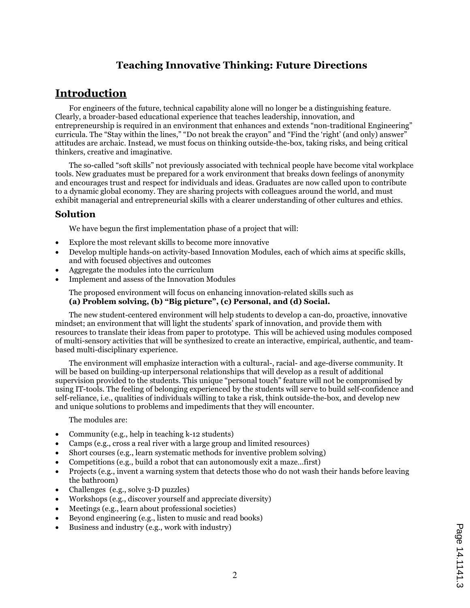# **Teaching Innovative Thinking: Future Directions**

# **Introduction**

For engineers of the future, technical capability alone will no longer be a distinguishing feature. Clearly, a broader-based educational experience that teaches leadership, innovation, and entrepreneurship is required in an environment that enhances and extends "non-traditional Engineering" curricula. The "Stay within the lines," "Do not break the crayon" and "Find the 'right' (and only) answer" attitudes are archaic. Instead, we must focus on thinking outside-the-box, taking risks, and being critical thinkers, creative and imaginative.

The so-called "soft skills" not previously associated with technical people have become vital workplace tools. New graduates must be prepared for a work environment that breaks down feelings of anonymity and encourages trust and respect for individuals and ideas. Graduates are now called upon to contribute to a dynamic global economy. They are sharing projects with colleagues around the world, and must exhibit managerial and entrepreneurial skills with a clearer understanding of other cultures and ethics.

### **Solution**

We have begun the first implementation phase of a project that will:

- Explore the most relevant skills to become more innovative
- Develop multiple hands-on activity-based Innovation Modules, each of which aims at specific skills, and with focused objectives and outcomes
- Aggregate the modules into the curriculum
- Implement and assess of the Innovation Modules

#### The proposed environment will focus on enhancing innovation-related skills such as **(a) Problem solving, (b) "Big picture", (c) Personal, and (d) Social.**

The new student-centered environment will help students to develop a can-do, proactive, innovative mindset; an environment that will light the students' spark of innovation, and provide them with resources to translate their ideas from paper to prototype. This will be achieved using modules composed of multi-sensory activities that will be synthesized to create an interactive, empirical, authentic, and teambased multi-disciplinary experience.

The environment will emphasize interaction with a cultural-, racial- and age-diverse community. It will be based on building-up interpersonal relationships that will develop as a result of additional supervision provided to the students. This unique "personal touch" feature will not be compromised by using IT-tools. The feeling of belonging experienced by the students will serve to build self-confidence and self-reliance, i.e., qualities of individuals willing to take a risk, think outside-the-box, and develop new and unique solutions to problems and impediments that they will encounter.

The modules are:

- ≠ Community (e.g., help in teaching k-12 students)
- Camps (e.g., cross a real river with a large group and limited resources)
- Short courses (e.g., learn systematic methods for inventive problem solving)
- ≠ Competitions (e.g., build a robot that can autonomously exit a maze…first)
- Projects (e.g., invent a warning system that detects those who do not wash their hands before leaving the bathroom)
- ≠ Challenges (e.g., solve 3-D puzzles)
- Workshops (e.g., discover yourself and appreciate diversity)
- Meetings (e.g., learn about professional societies)
- ≠ Beyond engineering (e.g., listen to music and read books)
- Business and industry (e.g., work with industry)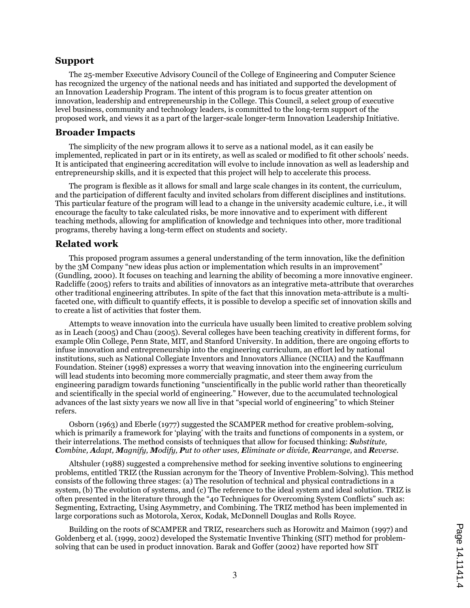#### **Support**

The 25-member Executive Advisory Council of the College of Engineering and Computer Science has recognized the urgency of the national needs and has initiated and supported the development of an Innovation Leadership Program. The intent of this program is to focus greater attention on innovation, leadership and entrepreneurship in the College. This Council, a select group of executive level business, community and technology leaders, is committed to the long-term support of the proposed work, and views it as a part of the larger-scale longer-term Innovation Leadership Initiative.

#### **Broader Impacts**

The simplicity of the new program allows it to serve as a national model, as it can easily be implemented, replicated in part or in its entirety, as well as scaled or modified to fit other schools' needs. It is anticipated that engineering accreditation will evolve to include innovation as well as leadership and entrepreneurship skills, and it is expected that this project will help to accelerate this process.

The program is flexible as it allows for small and large scale changes in its content, the curriculum, and the participation of different faculty and invited scholars from different disciplines and institutions. This particular feature of the program will lead to a change in the university academic culture, i.e., it will encourage the faculty to take calculated risks, be more innovative and to experiment with different teaching methods, allowing for amplification of knowledge and techniques into other, more traditional programs, thereby having a long-term effect on students and society.

#### **Related work**

This proposed program assumes a general understanding of the term innovation, like the definition by the 3M Company "new ideas plus action or implementation which results in an improvement" (Gundling, 2000). It focuses on teaching and learning the ability of becoming a more innovative engineer. Radcliffe (2005) refers to traits and abilities of innovators as an integrative meta-attribute that overarches other traditional engineering attributes. In spite of the fact that this innovation meta-attribute is a multifaceted one, with difficult to quantify effects, it is possible to develop a specific set of innovation skills and to create a list of activities that foster them.

Attempts to weave innovation into the curricula have usually been limited to creative problem solving as in Leach (2005) and Chau (2005). Several colleges have been teaching creativity in different forms, for example Olin College, Penn State, MIT, and Stanford University. In addition, there are ongoing efforts to infuse innovation and entrepreneurship into the engineering curriculum, an effort led by national institutions, such as National Collegiate Inventors and Innovators Alliance (NCIIA) and the Kauffmann Foundation. Steiner (1998) expresses a worry that weaving innovation into the engineering curriculum will lead students into becoming more commercially pragmatic, and steer them away from the engineering paradigm towards functioning "unscientifically in the public world rather than theoretically and scientifically in the special world of engineering." However, due to the accumulated technological advances of the last sixty years we now all live in that "special world of engineering" to which Steiner refers.

Osborn (1963) and Eberle (1977) suggested the SCAMPER method for creative problem-solving, which is primarily a framework for 'playing' with the traits and functions of components in a system, or their interrelations. The method consists of techniques that allow for focused thinking: *Substitute, Combine, Adapt, Magnify, Modify, Put to other uses, Eliminate or divide, Rearrange,* and *Reverse.* 

Altshuler (1988) suggested a comprehensive method for seeking inventive solutions to engineering problems, entitled TRIZ (the Russian acronym for the Theory of Inventive Problem-Solving). This method consists of the following three stages: (a) The resolution of technical and physical contradictions in a system, (b) The evolution of systems, and (c) The reference to the ideal system and ideal solution. TRIZ is often presented in the literature through the "40 Techniques for Overcoming System Conflicts" such as: Segmenting, Extracting, Using Asymmetry, and Combining. The TRIZ method has been implemented in large corporations such as Motorola, Xerox, Kodak, McDonnell Douglas and Rolls Royce.

Building on the roots of SCAMPER and TRIZ, researchers such as Horowitz and Maimon (1997) and Goldenberg et al. (1999, 2002) developed the Systematic Inventive Thinking (SIT) method for problemsolving that can be used in product innovation. Barak and Goffer (2002) have reported how SIT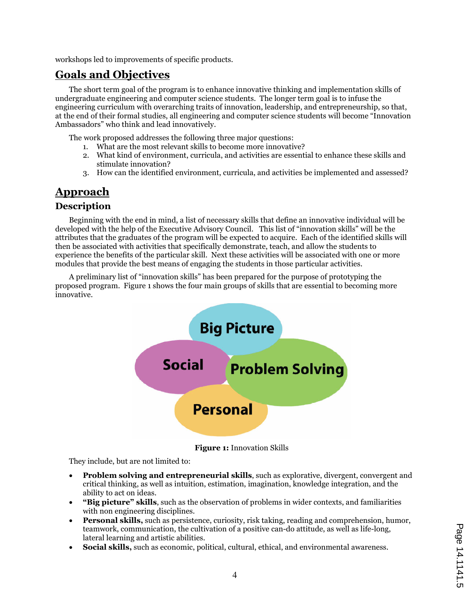workshops led to improvements of specific products.

# **Goals and Objectives**

The short term goal of the program is to enhance innovative thinking and implementation skills of undergraduate engineering and computer science students. The longer term goal is to infuse the engineering curriculum with overarching traits of innovation, leadership, and entrepreneurship, so that, at the end of their formal studies, all engineering and computer science students will become "Innovation Ambassadors" who think and lead innovatively.

The work proposed addresses the following three major questions:

- 1. What are the most relevant skills to become more innovative?
- 2. What kind of environment, curricula, and activities are essential to enhance these skills and stimulate innovation?
- 3. How can the identified environment, curricula, and activities be implemented and assessed?

# **Approach**

## **Description**

Beginning with the end in mind, a list of necessary skills that define an innovative individual will be developed with the help of the Executive Advisory Council. This list of "innovation skills" will be the attributes that the graduates of the program will be expected to acquire. Each of the identified skills will then be associated with activities that specifically demonstrate, teach, and allow the students to experience the benefits of the particular skill. Next these activities will be associated with one or more modules that provide the best means of engaging the students in those particular activities.

A preliminary list of "innovation skills" has been prepared for the purpose of prototyping the proposed program. Figure 1 shows the four main groups of skills that are essential to becoming more innovative.



**Figure 1:** Innovation Skills

They include, but are not limited to:

- **Problem solving and entrepreneurial skills**, such as explorative, divergent, convergent and critical thinking, as well as intuition, estimation, imagination, knowledge integration, and the ability to act on ideas.
- ≠ **"Big picture" skills**, such as the observation of problems in wider contexts, and familiarities with non engineering disciplines.
- ≠ **Personal skills,** such as persistence, curiosity, risk taking, reading and comprehension, humor, teamwork, communication, the cultivation of a positive can-do attitude, as well as life-long, lateral learning and artistic abilities.
- ≠ **Social skills,** such as economic, political, cultural, ethical, and environmental awareness.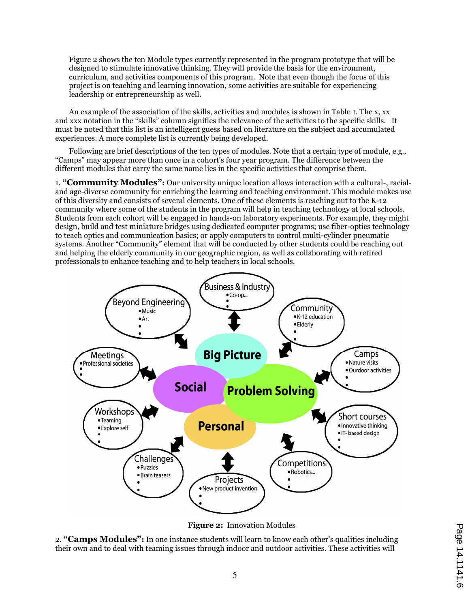Figure 2 shows the ten Module types currently represented in the program prototype that will be designed to stimulate innovative thinking. They will provide the basis for the environment, curriculum, and activities components of this program. Note that even though the focus of this project is on teaching and learning innovation, some activities are suitable for experiencing leadership or entrepreneurship as well.

An example of the association of the skills, activities and modules is shown in Table 1. The x, xx and xxx notation in the "skills" column signifies the relevance of the activities to the specific skills. It must be noted that this list is an intelligent guess based on literature on the subject and accumulated experiences. A more complete list is currently being developed.

Following are brief descriptions of the ten types of modules. Note that a certain type of module, e.g., "Camps" may appear more than once in a cohort's four year program. The difference between the different modules that carry the same name lies in the specific activities that comprise them.

1. **"Community Modules":** Our university unique location allows interaction with a cultural-, racialand age-diverse community for enriching the learning and teaching environment. This module makes use of this diversity and consists of several elements. One of these elements is reaching out to the K-12 community where some of the students in the program will help in teaching technology at local schools. Students from each cohort will be engaged in hands-on laboratory experiments. For example, they might design, build and test miniature bridges using dedicated computer programs; use fiber-optics technology to teach optics and communication basics; or apply computers to control multi-cylinder pneumatic systems. Another "Community" element that will be conducted by other students could be reaching out and helping the elderly community in our geographic region, as well as collaborating with retired professionals to enhance teaching and to help teachers in local schools.



**Figure 2:** Innovation Modules

2. **"Camps Modules":** In one instance students will learn to know each other's qualities including their own and to deal with teaming issues through indoor and outdoor activities. These activities will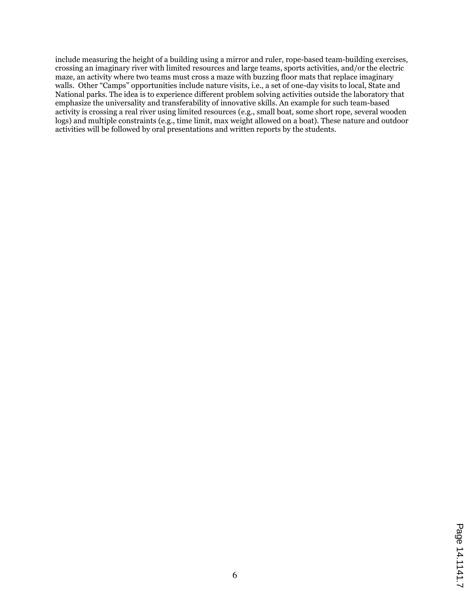include measuring the height of a building using a mirror and ruler, rope-based team-building exercises, crossing an imaginary river with limited resources and large teams, sports activities, and/or the electric maze, an activity where two teams must cross a maze with buzzing floor mats that replace imaginary walls. Other "Camps" opportunities include nature visits, i.e., a set of one-day visits to local, State and National parks. The idea is to experience different problem solving activities outside the laboratory that emphasize the universality and transferability of innovative skills. An example for such team-based activity is crossing a real river using limited resources (e.g., small boat, some short rope, several wooden logs) and multiple constraints (e.g., time limit, max weight allowed on a boat). These nature and outdoor activities will be followed by oral presentations and written reports by the students.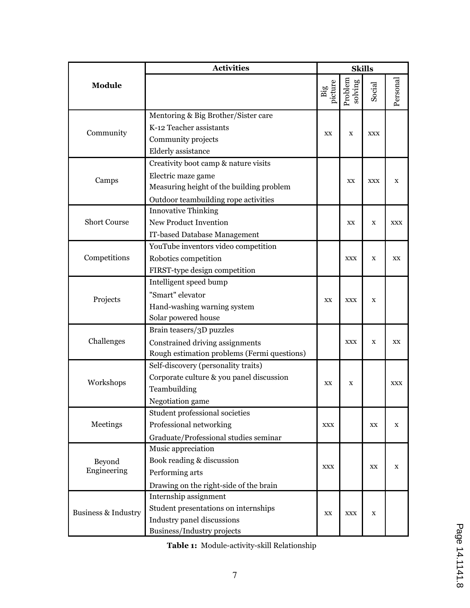| <b>Module</b>         | <b>Activities</b>                                                                                                                              | <b>Skills</b>  |                    |            |            |
|-----------------------|------------------------------------------------------------------------------------------------------------------------------------------------|----------------|--------------------|------------|------------|
|                       |                                                                                                                                                | Big<br>picture | Problem<br>solving | Social     | Personal   |
| Community             | Mentoring & Big Brother/Sister care<br>K-12 Teacher assistants<br>Community projects<br>Elderly assistance                                     | XX             | X                  | <b>XXX</b> |            |
| Camps                 | Creativity boot camp & nature visits<br>Electric maze game<br>Measuring height of the building problem<br>Outdoor teambuilding rope activities |                | XX                 | <b>XXX</b> | X          |
| <b>Short Course</b>   | <b>Innovative Thinking</b><br><b>New Product Invention</b><br>IT-based Database Management                                                     |                | XX                 | X          | <b>XXX</b> |
| Competitions          | YouTube inventors video competition<br>Robotics competition<br>FIRST-type design competition                                                   |                | <b>XXX</b>         | X          | XX         |
| Projects              | Intelligent speed bump<br>"Smart" elevator<br>Hand-washing warning system<br>Solar powered house                                               | XX             | <b>XXX</b>         | X          |            |
| Challenges            | Brain teasers/3D puzzles<br>Constrained driving assignments<br>Rough estimation problems (Fermi questions)                                     |                | XXX                | X          | XX         |
| Workshops             | Self-discovery (personality traits)<br>Corporate culture & you panel discussion<br>Teambuilding<br>Negotiation game                            | XX             | X                  |            | <b>XXX</b> |
| Meetings              | Student professional societies<br>Professional networking<br>Graduate/Professional studies seminar                                             | XXX            |                    | XX         | X          |
| Beyond<br>Engineering | Music appreciation<br>Book reading & discussion<br>Performing arts<br>Drawing on the right-side of the brain                                   | <b>XXX</b>     |                    | XX         | X          |
| Business & Industry   | Internship assignment<br>Student presentations on internships<br>Industry panel discussions<br>Business/Industry projects                      | XX             | <b>XXX</b>         | X          |            |

**Table 1:** Module-activity-skill Relationship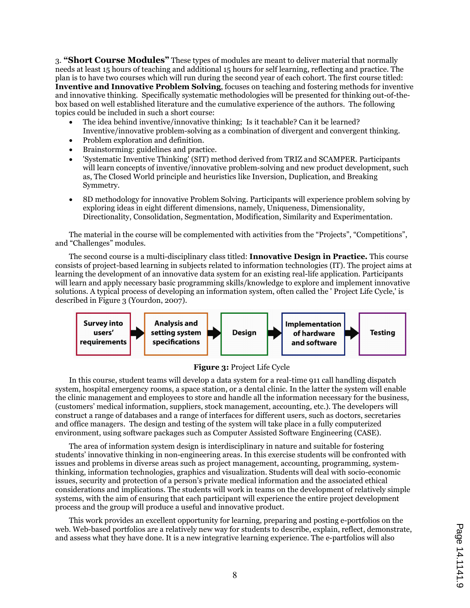3. **"Short Course Modules"** These types of modules are meant to deliver material that normally needs at least 15 hours of teaching and additional 15 hours for self learning, reflecting and practice. The plan is to have two courses which will run during the second year of each cohort. The first course titled: **Inventive and Innovative Problem Solving**, focuses on teaching and fostering methods for inventive and innovative thinking. Specifically systematic methodologies will be presented for thinking out-of-thebox based on well established literature and the cumulative experience of the authors. The following topics could be included in such a short course:

- The idea behind inventive/innovative thinking; Is it teachable? Can it be learned? Inventive/innovative problem-solving as a combination of divergent and convergent thinking.
- Problem exploration and definition.
- Brainstorming: guidelines and practice.
- ≠ 'Systematic Inventive Thinking' (SIT) method derived from TRIZ and SCAMPER. Participants will learn concepts of inventive/innovative problem-solving and new product development, such as, The Closed World principle and heuristics like Inversion, Duplication, and Breaking Symmetry.
- ≠ 8D methodology for innovative Problem Solving. Participants will experience problem solving by exploring ideas in eight different dimensions, namely, Uniqueness, Dimensionality, Directionality, Consolidation, Segmentation, Modification, Similarity and Experimentation.

The material in the course will be complemented with activities from the "Projects", "Competitions", and "Challenges" modules.

The second course is a multi-disciplinary class titled: **Innovative Design in Practice.** This course consists of project-based learning in subjects related to information technologies (IT). The project aims at learning the development of an innovative data system for an existing real-life application. Participants will learn and apply necessary basic programming skills/knowledge to explore and implement innovative solutions. A typical process of developing an information system, often called the ' Project Life Cycle,' is described in Figure 3 (Yourdon, 2007).



**Figure 3:** Project Life Cycle

In this course, student teams will develop a data system for a real-time 911 call handling dispatch system, hospital emergency rooms, a space station, or a dental clinic. In the latter the system will enable the clinic management and employees to store and handle all the information necessary for the business, (customers' medical information, suppliers, stock management, accounting, etc.). The developers will construct a range of databases and a range of interfaces for different users, such as doctors, secretaries and office managers. The design and testing of the system will take place in a fully computerized environment, using software packages such as Computer Assisted Software Engineering (CASE).

The area of information system design is interdisciplinary in nature and suitable for fostering students' innovative thinking in non-engineering areas. In this exercise students will be confronted with issues and problems in diverse areas such as project management, accounting, programming, systemthinking, information technologies, graphics and visualization. Students will deal with socio-economic issues, security and protection of a person's private medical information and the associated ethical considerations and implications. The students will work in teams on the development of relatively simple systems, with the aim of ensuring that each participant will experience the entire project development process and the group will produce a useful and innovative product.

This work provides an excellent opportunity for learning, preparing and posting e-portfolios on the web. Web-based portfolios are a relatively new way for students to describe, explain, reflect, demonstrate, and assess what they have done. It is a new integrative learning experience. The e-partfolios will also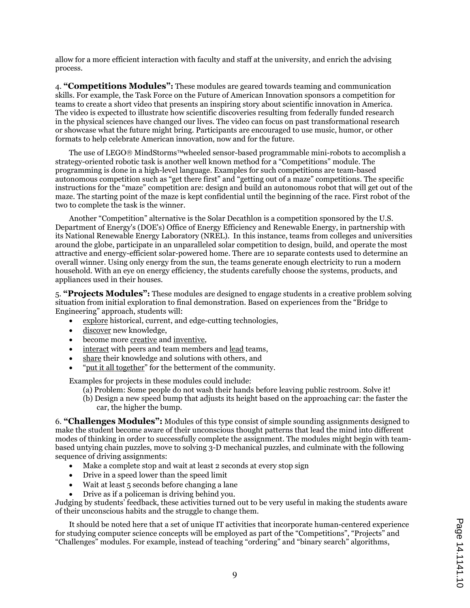allow for a more efficient interaction with faculty and staff at the university, and enrich the advising process.

4. **"Competitions Modules":** These modules are geared towards teaming and communication skills. For example, the Task Force on the Future of American Innovation sponsors a competition for teams to create a short video that presents an inspiring story about scientific innovation in America. The video is expected to illustrate how scientific discoveries resulting from federally funded research in the physical sciences have changed our lives. The video can focus on past transformational research or showcase what the future might bring. Participants are encouraged to use music, humor, or other formats to help celebrate American innovation, now and for the future.

The use of LEGO® MindStorms™wheeled sensor-based programmable mini-robots to accomplish a strategy-oriented robotic task is another well known method for a "Competitions" module. The programming is done in a high-level language. Examples for such competitions are team-based autonomous competition such as "get there first" and "getting out of a maze" competitions. The specific instructions for the "maze" competition are: design and build an autonomous robot that will get out of the maze. The starting point of the maze is kept confidential until the beginning of the race. First robot of the two to complete the task is the winner.

Another "Competition" alternative is the Solar Decathlon is a competition sponsored by the U.S. Department of Energy's (DOE's) Office of Energy Efficiency and Renewable Energy, in partnership with its National Renewable Energy Laboratory (NREL). In this instance, teams from colleges and universities around the globe, participate in an unparalleled solar competition to design, build, and operate the most attractive and energy-efficient solar-powered home. There are 10 separate contests used to determine an overall winner. Using only energy from the sun, the teams generate enough electricity to run a modern household. With an eye on energy efficiency, the students carefully choose the systems, products, and appliances used in their houses.

5. **"Projects Modules":** These modules are designed to engage students in a creative problem solving situation from initial exploration to final demonstration. Based on experiences from the "Bridge to Engineering" approach, students will:

- explore historical, current, and edge-cutting technologies,
- discover new knowledge,
- become more creative and inventive,
- interact with peers and team members and <u>lead</u> teams,
- share their knowledge and solutions with others, and
- ≠ "put it all together" for the betterment of the community.

Examples for projects in these modules could include:

- (a) Problem: Some people do not wash their hands before leaving public restroom. Solve it!
- (b) Design a new speed bump that adjusts its height based on the approaching car: the faster the car, the higher the bump.

6. **"Challenges Modules":** Modules of this type consist of simple sounding assignments designed to make the student become aware of their unconscious thought patterns that lead the mind into different modes of thinking in order to successfully complete the assignment. The modules might begin with teambased untying chain puzzles, move to solving 3-D mechanical puzzles, and culminate with the following sequence of driving assignments:

- Make a complete stop and wait at least 2 seconds at every stop sign
- Drive in a speed lower than the speed limit
- Wait at least 5 seconds before changing a lane
- Drive as if a policeman is driving behind you.

Judging by students' feedback, these activities turned out to be very useful in making the students aware of their unconscious habits and the struggle to change them.

It should be noted here that a set of unique IT activities that incorporate human-centered experience for studying computer science concepts will be employed as part of the "Competitions", "Projects" and "Challenges" modules. For example, instead of teaching "ordering" and "binary search" algorithms,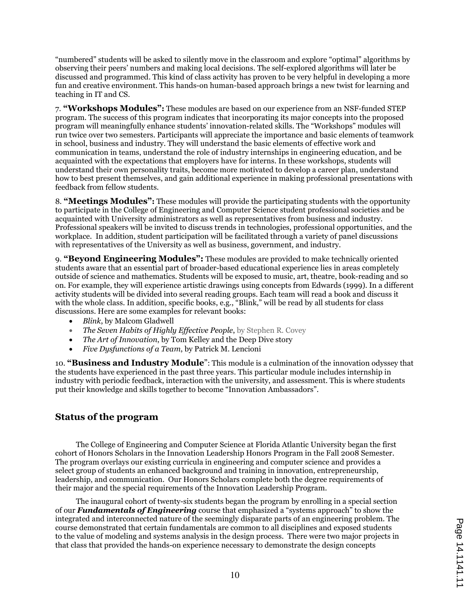"numbered" students will be asked to silently move in the classroom and explore "optimal" algorithms by observing their peers' numbers and making local decisions. The self-explored algorithms will later be discussed and programmed. This kind of class activity has proven to be very helpful in developing a more fun and creative environment. This hands-on human-based approach brings a new twist for learning and teaching in IT and CS.

7. **"Workshops Modules":** These modules are based on our experience from an NSF-funded STEP program. The success of this program indicates that incorporating its major concepts into the proposed program will meaningfully enhance students' innovation-related skills. The "Workshops" modules will run twice over two semesters. Participants will appreciate the importance and basic elements of teamwork in school, business and industry. They will understand the basic elements of effective work and communication in teams, understand the role of industry internships in engineering education, and be acquainted with the expectations that employers have for interns. In these workshops, students will understand their own personality traits, become more motivated to develop a career plan, understand how to best present themselves, and gain additional experience in making professional presentations with feedback from fellow students.

8. **"Meetings Modules":** These modules will provide the participating students with the opportunity to participate in the College of Engineering and Computer Science student professional societies and be acquainted with University administrators as well as representatives from business and industry. Professional speakers will be invited to discuss trends in technologies, professional opportunities, and the workplace. In addition, student participation will be facilitated through a variety of panel discussions with representatives of the University as well as business, government, and industry.

9. **"Beyond Engineering Modules":** These modules are provided to make technically oriented students aware that an essential part of broader-based educational experience lies in areas completely outside of science and mathematics. Students will be exposed to music, art, theatre, book-reading and so on. For example, they will experience artistic drawings using concepts from Edwards (1999). In a different activity students will be divided into several reading groups. Each team will read a book and discuss it with the whole class. In addition, specific books, e.g., "Blink," will be read by all students for class discussions. Here are some examples for relevant books:

- ≠ *Blink*, by Malcom Gladwell
- The Seven Habits of Highly Effective People, by Stephen R. Covey
- ≠ *The Art of Innovation*, by Tom Kelley and the Deep Dive story
- ≠ *Five Dysfunctions of a Team*, by Patrick M. Lencioni

10. **"Business and Industry Module**": This module is a culmination of the innovation odyssey that the students have experienced in the past three years. This particular module includes internship in industry with periodic feedback, interaction with the university, and assessment. This is where students put their knowledge and skills together to become "Innovation Ambassadors".

## **Status of the program**

The College of Engineering and Computer Science at Florida Atlantic University began the first cohort of Honors Scholars in the Innovation Leadership Honors Program in the Fall 2008 Semester. The program overlays our existing curricula in engineering and computer science and provides a select group of students an enhanced background and training in innovation, entrepreneurship, leadership, and communication. Our Honors Scholars complete both the degree requirements of their major and the special requirements of the Innovation Leadership Program.

The inaugural cohort of twenty-six students began the program by enrolling in a special section of our *Fundamentals of Engineering* course that emphasized a "systems approach" to show the integrated and interconnected nature of the seemingly disparate parts of an engineering problem. The course demonstrated that certain fundamentals are common to all disciplines and exposed students to the value of modeling and systems analysis in the design process. There were two major projects in that class that provided the hands-on experience necessary to demonstrate the design concepts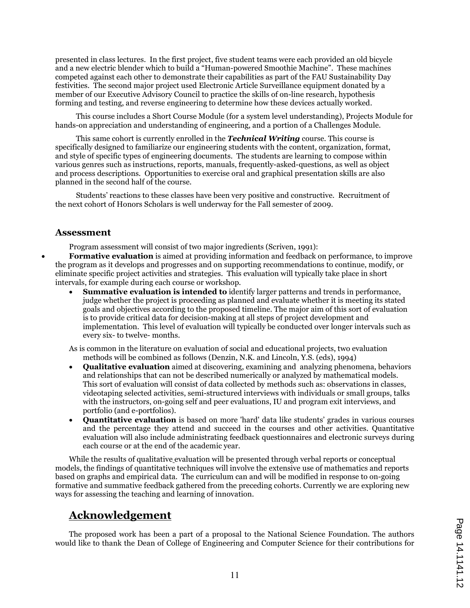presented in class lectures. In the first project, five student teams were each provided an old bicycle and a new electric blender which to build a "Human-powered Smoothie Machine". These machines competed against each other to demonstrate their capabilities as part of the FAU Sustainability Day festivities. The second major project used Electronic Article Surveillance equipment donated by a member of our Executive Advisory Council to practice the skills of on-line research, hypothesis forming and testing, and reverse engineering to determine how these devices actually worked.

This course includes a Short Course Module (for a system level understanding), Projects Module for hands-on appreciation and understanding of engineering, and a portion of a Challenges Module.

This same cohort is currently enrolled in the *Technical Writing* course. This course is specifically designed to familiarize our engineering students with the content, organization, format, and style of specific types of engineering documents. The students are learning to compose within various genres such as instructions, reports, manuals, frequently-asked-questions, as well as object and process descriptions. Opportunities to exercise oral and graphical presentation skills are also planned in the second half of the course.

Students' reactions to these classes have been very positive and constructive. Recruitment of the next cohort of Honors Scholars is well underway for the Fall semester of 2009.

#### **Assessment**

Program assessment will consist of two major ingredients (Scriven, 1991):

- **Formative evaluation** is aimed at providing information and feedback on performance, to improve the program as it develops and progresses and on supporting recommendations to continue, modify, or eliminate specific project activities and strategies. This evaluation will typically take place in short intervals, for example during each course or workshop.
	- **Summative evaluation is intended to** identify larger patterns and trends in performance, judge whether the project is proceeding as planned and evaluate whether it is meeting its stated goals and objectives according to the proposed timeline. The major aim of this sort of evaluation is to provide critical data for decision-making at all steps of project development and implementation. This level of evaluation will typically be conducted over longer intervals such as every six- to twelve- months.

As is common in the literature on evaluation of social and educational projects, two evaluation methods will be combined as follows (Denzin, N.K. and Lincoln, Y.S. (eds), 1994)

- **Qualitative evaluation** aimed at discovering, examining and analyzing phenomena, behaviors and relationships that can not be described numerically or analyzed by mathematical models. This sort of evaluation will consist of data collected by methods such as: observations in classes, videotaping selected activities, semi-structured interviews with individuals or small groups, talks with the instructors, on-going self and peer evaluations, IU and program exit interviews, and portfolio (and e-portfolios).
- ≠ **Quantitative evaluation** is based on more 'hard' data like students' grades in various courses and the percentage they attend and succeed in the courses and other activities. Quantitative evaluation will also include administrating feedback questionnaires and electronic surveys during each course or at the end of the academic year.

While the results of qualitative evaluation will be presented through verbal reports or conceptual models, the findings of quantitative techniques will involve the extensive use of mathematics and reports based on graphs and empirical data. The curriculum can and will be modified in response to on-going formative and summative feedback gathered from the preceding cohorts. Currently we are exploring new ways for assessing the teaching and learning of innovation.

# **Acknowledgement**

The proposed work has been a part of a proposal to the National Science Foundation. The authors would like to thank the Dean of College of Engineering and Computer Science for their contributions for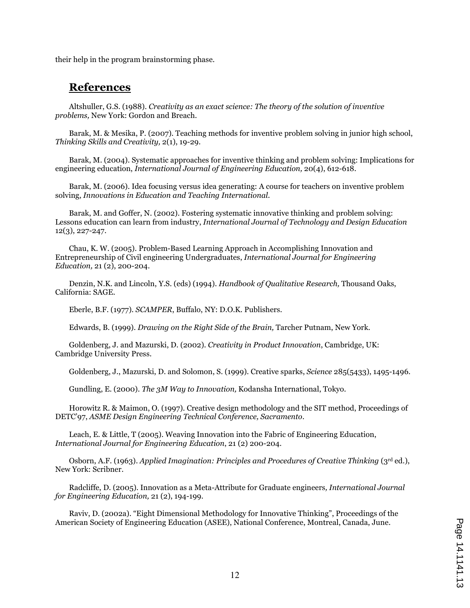their help in the program brainstorming phase.

# **References**

Altshuller, G.S. (1988). *Creativity as an exact science: The theory of the solution of inventive problems,* New York: Gordon and Breach.

Barak, M. & Mesika, P. (2007). Teaching methods for inventive problem solving in junior high school, *Thinking Skills and Creativity,* 2(1), 19-29.

Barak, M. (2004). Systematic approaches for inventive thinking and problem solving: Implications for engineering education, *International Journal of Engineering Education,* 20(4), 612-618.

Barak, M. (2006). Idea focusing versus idea generating: A course for teachers on inventive problem solving, *Innovations in Education and Teaching International.*

Barak, M. and Goffer, N. (2002). Fostering systematic innovative thinking and problem solving: Lessons education can learn from industry, *International Journal of Technology and Design Education* 12(3), 227-247.

Chau, K. W. (2005). Problem-Based Learning Approach in Accomplishing Innovation and Entrepreneurship of Civil engineering Undergraduates, *International Journal for Engineering Education,* 21 (2), 200-204.

Denzin, N.K. and Lincoln, Y.S. (eds) (1994). *Handbook of Qualitative Research,* Thousand Oaks, California: SAGE.

Eberle, B.F. (1977). *SCAMPER*, Buffalo, NY: D.O.K. Publishers.

Edwards, B. (1999). *Drawing on the Right Side of the Brain,* Tarcher Putnam, New York.

Goldenberg, J. and Mazurski, D. (2002). *Creativity in Product Innovation*, Cambridge, UK: Cambridge University Press.

Goldenberg, J., Mazurski, D. and Solomon, S. (1999). Creative sparks, *Science* 285(5433), 1495-1496.

Gundling, E. (2000). *The 3M Way to Innovation,* Kodansha International, Tokyo.

Horowitz R. & Maimon, O. (1997). Creative design methodology and the SIT method, Proceedings of DETC'97, *ASME Design Engineering Technical Conference, Sacramento*.

Leach, E. & Little, T (2005). Weaving Innovation into the Fabric of Engineering Education, *International Journal for Engineering Education*, 21 (2) 200-204.

Osborn, A.F. (1963). *Applied Imagination: Principles and Procedures of Creative Thinking* (3rd ed.), New York: Scribner.

Radcliffe, D. (2005). Innovation as a Meta-Attribute for Graduate engineers*, International Journal for Engineering Education,* 21 (2), 194-199.

Raviv, D. (2002a). "Eight Dimensional Methodology for Innovative Thinking", Proceedings of the American Society of Engineering Education (ASEE), National Conference, Montreal, Canada, June.